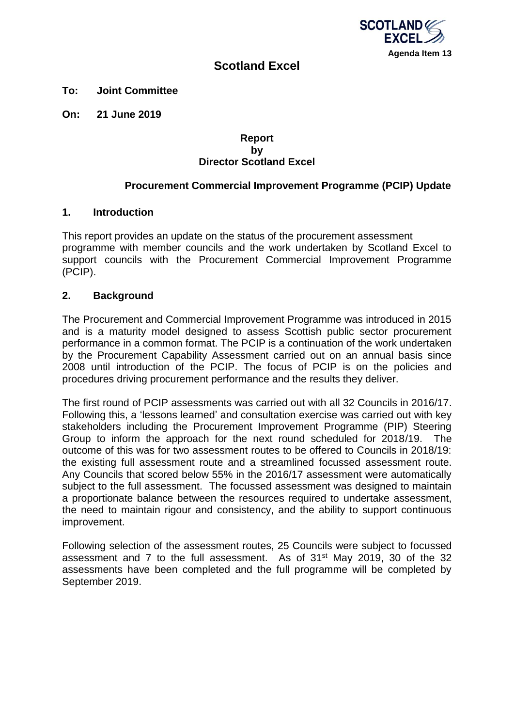

# **Scotland Excel**

**To: Joint Committee**

**On: 21 June 2019** 

#### **Report by Director Scotland Excel**

## **Procurement Commercial Improvement Programme (PCIP) Update**

#### **1. Introduction**

This report provides an update on the status of the procurement assessment programme with member councils and the work undertaken by Scotland Excel to support councils with the Procurement Commercial Improvement Programme (PCIP).

#### **2. Background**

The Procurement and Commercial Improvement Programme was introduced in 2015 and is a maturity model designed to assess Scottish public sector procurement performance in a common format. The PCIP is a continuation of the work undertaken by the Procurement Capability Assessment carried out on an annual basis since 2008 until introduction of the PCIP. The focus of PCIP is on the policies and procedures driving procurement performance and the results they deliver.

The first round of PCIP assessments was carried out with all 32 Councils in 2016/17. Following this, a 'lessons learned' and consultation exercise was carried out with key stakeholders including the Procurement Improvement Programme (PIP) Steering Group to inform the approach for the next round scheduled for 2018/19. The outcome of this was for two assessment routes to be offered to Councils in 2018/19: the existing full assessment route and a streamlined focussed assessment route. Any Councils that scored below 55% in the 2016/17 assessment were automatically subject to the full assessment. The focussed assessment was designed to maintain a proportionate balance between the resources required to undertake assessment, the need to maintain rigour and consistency, and the ability to support continuous improvement.

Following selection of the assessment routes, 25 Councils were subject to focussed assessment and 7 to the full assessment. As of 31<sup>st</sup> May 2019, 30 of the 32 assessments have been completed and the full programme will be completed by September 2019.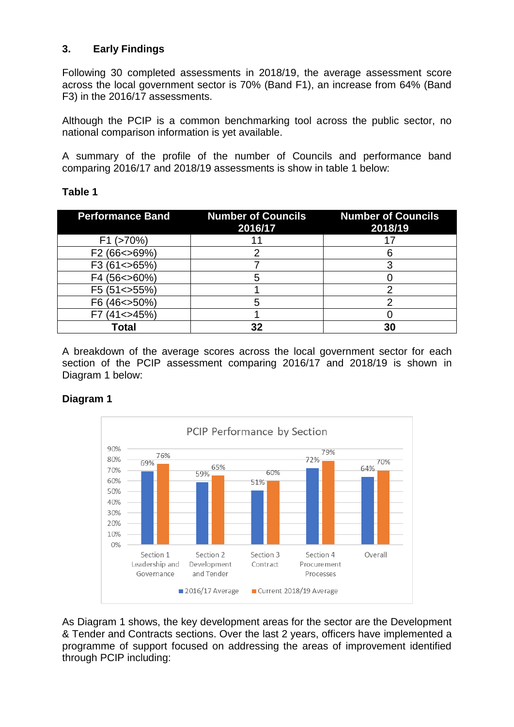## **3. Early Findings**

Following 30 completed assessments in 2018/19, the average assessment score across the local government sector is 70% (Band F1), an increase from 64% (Band F3) in the 2016/17 assessments.

Although the PCIP is a common benchmarking tool across the public sector, no national comparison information is yet available.

A summary of the profile of the number of Councils and performance band comparing 2016/17 and 2018/19 assessments is show in table 1 below:

## **Table 1**

| <b>Performance Band</b> | <b>Number of Councils</b><br>2016/17 | <b>Number of Councils</b><br>2018/19 |
|-------------------------|--------------------------------------|--------------------------------------|
| $F1$ ( $>70\%$ )        |                                      |                                      |
| F2 (66 < > 69%)         |                                      |                                      |
| F3 (61<>65%)            |                                      |                                      |
| F4 (56 < > 60%)         |                                      |                                      |
| F5 (51 < > 55%)         |                                      |                                      |
| F6 (46 < > 50%)         |                                      |                                      |
| $(41 \leq 45\%)$        |                                      |                                      |
| Total                   |                                      | 30                                   |

A breakdown of the average scores across the local government sector for each section of the PCIP assessment comparing 2016/17 and 2018/19 is shown in Diagram 1 below:

## **Diagram 1**



As Diagram 1 shows, the key development areas for the sector are the Development & Tender and Contracts sections. Over the last 2 years, officers have implemented a programme of support focused on addressing the areas of improvement identified through PCIP including: